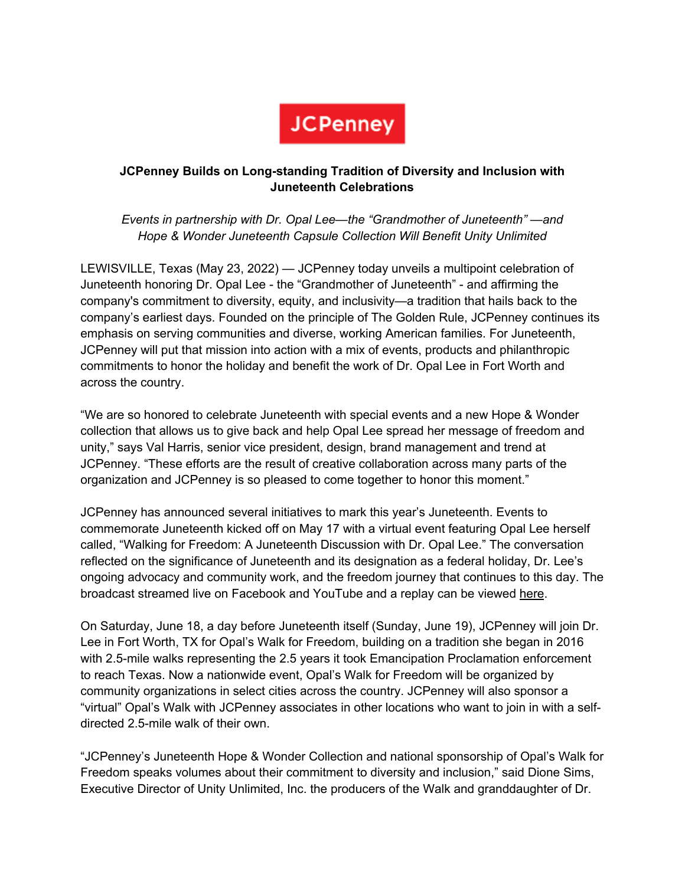

## **JCPenney Builds on Long-standing Tradition of Diversity and Inclusion with Juneteenth Celebrations**

*Events in partnership with Dr. Opal Lee—the "Grandmother of Juneteenth" —and Hope & Wonder Juneteenth Capsule Collection Will Benefit Unity Unlimited*

LEWISVILLE, Texas (May 23, 2022) — JCPenney today unveils a multipoint celebration of Juneteenth honoring Dr. Opal Lee - the "Grandmother of Juneteenth" - and affirming the company's commitment to diversity, equity, and inclusivity—a tradition that hails back to the company's earliest days. Founded on the principle of The Golden Rule, JCPenney continues its emphasis on serving communities and diverse, working American families. For Juneteenth, JCPenney will put that mission into action with a mix of events, products and philanthropic commitments to honor the holiday and benefit the work of Dr. Opal Lee in Fort Worth and across the country.

"We are so honored to celebrate Juneteenth with special events and a new Hope & Wonder collection that allows us to give back and help Opal Lee spread her message of freedom and unity," says Val Harris, senior vice president, design, brand management and trend at JCPenney. "These efforts are the result of creative collaboration across many parts of the organization and JCPenney is so pleased to come together to honor this moment."

JCPenney has announced several initiatives to mark this year's Juneteenth. Events to commemorate Juneteenth kicked off on May 17 with a virtual event featuring Opal Lee herself called, "Walking for Freedom: A Juneteenth Discussion with Dr. Opal Lee." The conversation reflected on the significance of Juneteenth and its designation as a federal holiday, Dr. Lee's ongoing advocacy and community work, and the freedom journey that continues to this day. The broadcast streamed live on Facebook and YouTube and a replay can be viewed here.

On Saturday, June 18, a day before Juneteenth itself (Sunday, June 19), JCPenney will join Dr. Lee in Fort Worth, TX for Opal's Walk for Freedom, building on a tradition she began in 2016 with 2.5-mile walks representing the 2.5 years it took Emancipation Proclamation enforcement to reach Texas. Now a nationwide event, Opal's Walk for Freedom will be organized by community organizations in select cities across the country. JCPenney will also sponsor a "virtual" Opal's Walk with JCPenney associates in other locations who want to join in with a selfdirected 2.5-mile walk of their own.

"JCPenney's Juneteenth Hope & Wonder Collection and national sponsorship of Opal's Walk for Freedom speaks volumes about their commitment to diversity and inclusion," said Dione Sims, Executive Director of Unity Unlimited, Inc. the producers of the Walk and granddaughter of Dr.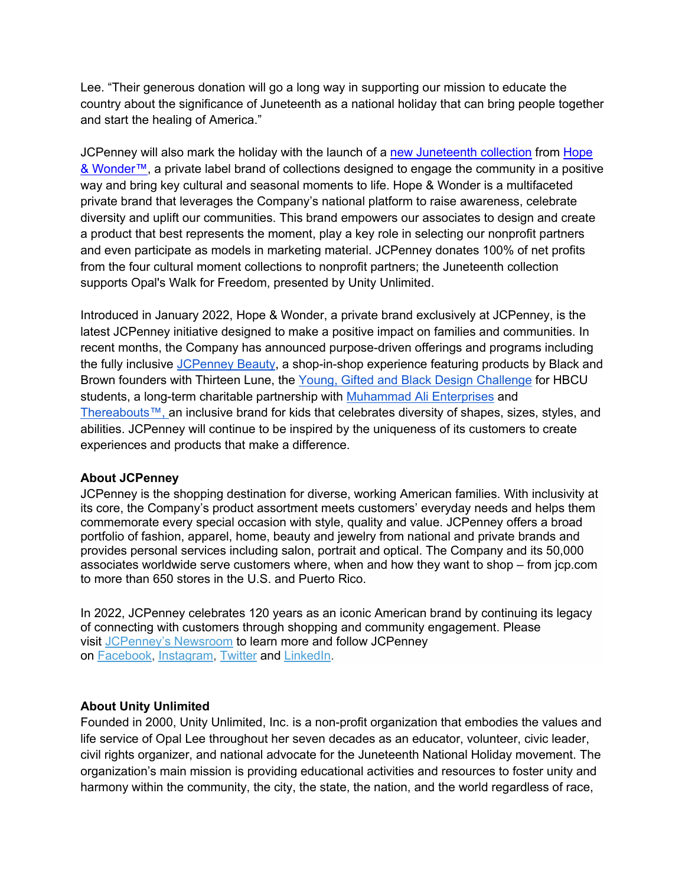Lee. "Their generous donation will go a long way in supporting our mission to educate the country about the significance of Juneteenth as a national holiday that can bring people together and start the healing of America."

JCPenney will also mark the holiday with the launch of a new Juneteenth collection from Hope & Wonder™, a private label brand of collections designed to engage the community in a positive way and bring key cultural and seasonal moments to life. Hope & Wonder is a multifaceted private brand that leverages the Company's national platform to raise awareness, celebrate diversity and uplift our communities. This brand empowers our associates to design and create a product that best represents the moment, play a key role in selecting our nonprofit partners and even participate as models in marketing material. JCPenney donates 100% of net profits from the four cultural moment collections to nonprofit partners; the Juneteenth collection supports Opal's Walk for Freedom, presented by Unity Unlimited.

Introduced in January 2022, Hope & Wonder, a private brand exclusively at JCPenney, is the latest JCPenney initiative designed to make a positive impact on families and communities. In recent months, the Company has announced purpose-driven offerings and programs including the fully inclusive JCPenney Beauty, a shop-in-shop experience featuring products by Black and Brown founders with Thirteen Lune, the Young, Gifted and Black Design Challenge for HBCU students, a long-term charitable partnership with Muhammad Ali Enterprises and Thereabouts™, an inclusive brand for kids that celebrates diversity of shapes, sizes, styles, and abilities. JCPenney will continue to be inspired by the uniqueness of its customers to create experiences and products that make a difference.

## **About JCPenney**

JCPenney is the shopping destination for diverse, working American families. With inclusivity at its core, the Company's product assortment meets customers' everyday needs and helps them commemorate every special occasion with style, quality and value. JCPenney offers a broad portfolio of fashion, apparel, home, beauty and jewelry from national and private brands and provides personal services including salon, portrait and optical. The Company and its 50,000 associates worldwide serve customers where, when and how they want to shop – from jcp.com to more than 650 stores in the U.S. and Puerto Rico.

In 2022, JCPenney celebrates 120 years as an iconic American brand by continuing its legacy of connecting with customers through shopping and community engagement. Please visit JCPenney's Newsroom to learn more and follow JCPenney on Facebook, Instagram, Twitter and LinkedIn.

## **About Unity Unlimited**

Founded in 2000, Unity Unlimited, Inc. is a non-profit organization that embodies the values and life service of Opal Lee throughout her seven decades as an educator, volunteer, civic leader, civil rights organizer, and national advocate for the Juneteenth National Holiday movement. The organization's main mission is providing educational activities and resources to foster unity and harmony within the community, the city, the state, the nation, and the world regardless of race,